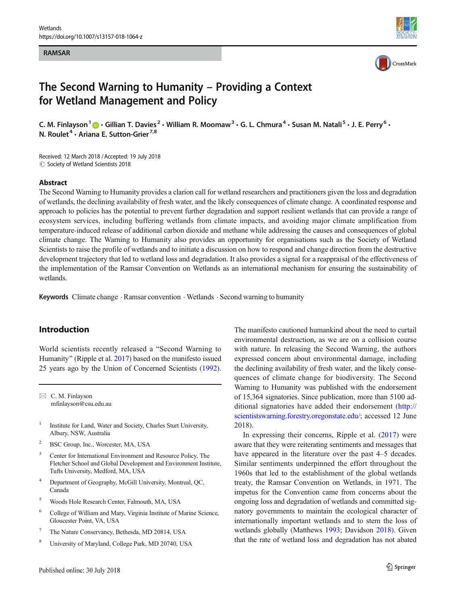#### RAMSAR





# The Second Warning to Humanity – Providing a Context for Wetland Management and Policy

C. M. Finlayson<sup>1</sup>  $\cdot$  Gillian T. Davies<sup>2</sup>  $\cdot$  William R. Moomaw<sup>3</sup>  $\cdot$  G. L. Chmura<sup>4</sup>  $\cdot$  Susan M. Natali<sup>5</sup>  $\cdot$  J. E. Perry<sup>6</sup>  $\cdot$ N. Roulet<sup>4</sup>  $\cdot$  Ariana E. Sutton-Grier<sup>7,8</sup>

Received: 12 March 2018 /Accepted: 19 July 2018  $\oslash$  Society of Wetland Scientists 2018

#### Abstract

The Second Warning to Humanity provides a clarion call for wetland researchers and practitioners given the loss and degradation of wetlands, the declining availability of fresh water, and the likely consequences of climate change. A coordinated response and approach to policies has the potential to prevent further degradation and support resilient wetlands that can provide a range of ecosystem services, including buffering wetlands from climate impacts, and avoiding major climate amplification from temperature-induced release of additional carbon dioxide and methane while addressing the causes and consequences of global climate change. The Warning to Humanity also provides an opportunity for organisations such as the Society of Wetland Scientists to raise the profile of wetlands and to initiate a discussion on how to respond and change direction from the destructive development trajectory that led to wetland loss and degradation. It also provides a signal for a reappraisal of the effectiveness of the implementation of the Ramsar Convention on Wetlands as an international mechanism for ensuring the sustainability of wetlands.

Keywords Climate change . Ramsar convention . Wetlands . Second warning to humanity

## Introduction

World scientists recently released a "Second Warning to Humanity" (Ripple et al. [2017\)](#page-4-0) based on the manifesto issued 25 years ago by the Union of Concerned Scientists [\(1992\)](#page-4-0).

 $\boxtimes$  C. M. Finlayson [mfinlayson@csu.edu.au](mailto:mfinlayson@csu.edu.au)

- <sup>1</sup> Institute for Land, Water and Society, Charles Sturt University, Albury, NSW, Australia
- <sup>2</sup> BSC Group, Inc., Worcester, MA, USA
- <sup>3</sup> Center for International Environment and Resource Policy, The Fletcher School and Global Development and Environment Institute, Tufts University, Medford, MA, USA
- <sup>4</sup> Department of Geography, McGill University, Montreal, QC, Canada
- <sup>5</sup> Woods Hole Research Center, Falmouth, MA, USA
- <sup>6</sup> College of William and Mary, Virginia Institute of Marine Science, Gloucester Point, VA, USA
- <sup>7</sup> The Nature Conservancy, Bethesda, MD 20814, USA
- <sup>8</sup> University of Maryland, College Park, MD 20740, USA

The manifesto cautioned humankind about the need to curtail environmental destruction, as we are on a collision course with nature. In releasing the Second Warning, the authors expressed concern about environmental damage, including the declining availability of fresh water, and the likely consequences of climate change for biodiversity. The Second Warning to Humanity was published with the endorsement of 15,364 signatories. Since publication, more than 5100 additional signatories have added their endorsement [\(http://](http://scientistswarning.forestry.oregonstate.edu/) [scientistswarning.forestry.oregonstate.edu/](http://scientistswarning.forestry.oregonstate.edu/); accessed 12 June 2018).

In expressing their concerns, Ripple et al. ([2017\)](#page-4-0) were aware that they were reiterating sentiments and messages that have appeared in the literature over the past 4–5 decades. Similar sentiments underpinned the effort throughout the 1960s that led to the establishment of the global wetlands treaty, the Ramsar Convention on Wetlands, in 1971. The impetus for the Convention came from concerns about the ongoing loss and degradation of wetlands and committed signatory governments to maintain the ecological character of internationally important wetlands and to stem the loss of wetlands globally (Matthews [1993](#page-4-0); Davidson [2018](#page-4-0)). Given that the rate of wetland loss and degradation has not abated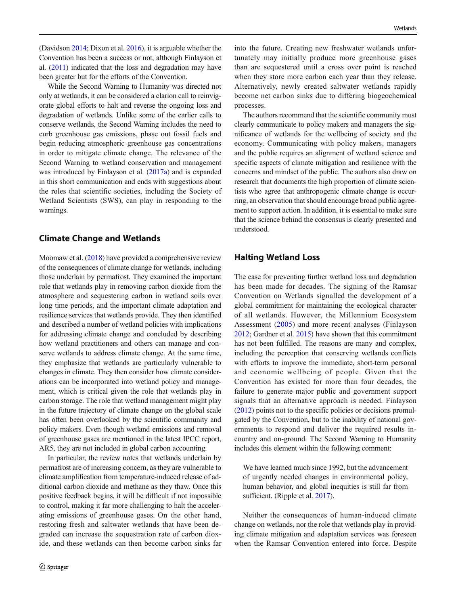(Davidson [2014](#page-4-0); Dixon et al. [2016\)](#page-4-0), it is arguable whether the Convention has been a success or not, although Finlayson et al. [\(2011](#page-4-0)) indicated that the loss and degradation may have been greater but for the efforts of the Convention.

While the Second Warning to Humanity was directed not only at wetlands, it can be considered a clarion call to reinvigorate global efforts to halt and reverse the ongoing loss and degradation of wetlands. Unlike some of the earlier calls to conserve wetlands, the Second Warning includes the need to curb greenhouse gas emissions, phase out fossil fuels and begin reducing atmospheric greenhouse gas concentrations in order to mitigate climate change. The relevance of the Second Warning to wetland conservation and management was introduced by Finlayson et al. ([2017a](#page-4-0)) and is expanded in this short communication and ends with suggestions about the roles that scientific societies, including the Society of Wetland Scientists (SWS), can play in responding to the warnings.

### Climate Change and Wetlands

Moomaw et al. [\(2018\)](#page-4-0) have provided a comprehensive review of the consequences of climate change for wetlands, including those underlain by permafrost. They examined the important role that wetlands play in removing carbon dioxide from the atmosphere and sequestering carbon in wetland soils over long time periods, and the important climate adaptation and resilience services that wetlands provide. They then identified and described a number of wetland policies with implications for addressing climate change and concluded by describing how wetland practitioners and others can manage and conserve wetlands to address climate change. At the same time, they emphasize that wetlands are particularly vulnerable to changes in climate. They then consider how climate considerations can be incorporated into wetland policy and management, which is critical given the role that wetlands play in carbon storage. The role that wetland management might play in the future trajectory of climate change on the global scale has often been overlooked by the scientific community and policy makers. Even though wetland emissions and removal of greenhouse gases are mentioned in the latest IPCC report, AR5, they are not included in global carbon accounting.

In particular, the review notes that wetlands underlain by permafrost are of increasing concern, as they are vulnerable to climate amplification from temperature-induced release of additional carbon dioxide and methane as they thaw. Once this positive feedback begins, it will be difficult if not impossible to control, making it far more challenging to halt the accelerating emissions of greenhouse gases. On the other hand, restoring fresh and saltwater wetlands that have been degraded can increase the sequestration rate of carbon dioxide, and these wetlands can then become carbon sinks far

into the future. Creating new freshwater wetlands unfortunately may initially produce more greenhouse gases than are sequestered until a cross over point is reached when they store more carbon each year than they release. Alternatively, newly created saltwater wetlands rapidly become net carbon sinks due to differing biogeochemical processes.

The authors recommend that the scientific community must clearly communicate to policy makers and managers the significance of wetlands for the wellbeing of society and the economy. Communicating with policy makers, managers and the public requires an alignment of wetland science and specific aspects of climate mitigation and resilience with the concerns and mindset of the public. The authors also draw on research that documents the high proportion of climate scientists who agree that anthropogenic climate change is occurring, an observation that should encourage broad public agreement to support action. In addition, it is essential to make sure that the science behind the consensus is clearly presented and understood.

## Halting Wetland Loss

The case for preventing further wetland loss and degradation has been made for decades. The signing of the Ramsar Convention on Wetlands signalled the development of a global commitment for maintaining the ecological character of all wetlands. However, the Millennium Ecosystem Assessment ([2005](#page-4-0)) and more recent analyses (Finlayson [2012;](#page-4-0) Gardner et al. [2015](#page-4-0)) have shown that this commitment has not been fulfilled. The reasons are many and complex, including the perception that conserving wetlands conflicts with efforts to improve the immediate, short-term personal and economic wellbeing of people. Given that the Convention has existed for more than four decades, the failure to generate major public and government support signals that an alternative approach is needed. Finlayson [\(2012\)](#page-4-0) points not to the specific policies or decisions promulgated by the Convention, but to the inability of national governments to respond and deliver the required results incountry and on-ground. The Second Warning to Humanity includes this element within the following comment:

We have learned much since 1992, but the advancement of urgently needed changes in environmental policy, human behavior, and global inequities is still far from sufficient. (Ripple et al. [2017](#page-4-0)).

Neither the consequences of human-induced climate change on wetlands, nor the role that wetlands play in providing climate mitigation and adaptation services was foreseen when the Ramsar Convention entered into force. Despite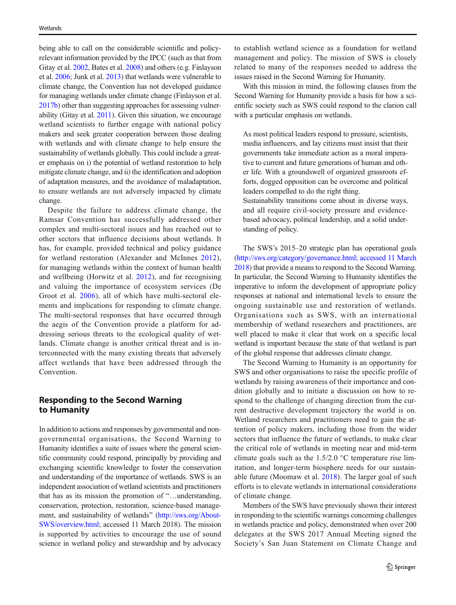being able to call on the considerable scientific and policyrelevant information provided by the IPCC (such as that from Gitay et al. [2002](#page-4-0), Bates et al. [2008\)](#page-4-0) and others (e.g. Finlayson et al. [2006;](#page-4-0) Junk et al. [2013](#page-4-0)) that wetlands were vulnerable to climate change, the Convention has not developed guidance for managing wetlands under climate change (Finlayson et al. [2017b](#page-4-0)) other than suggesting approaches for assessing vulnerability (Gitay et al. [2011](#page-4-0)). Given this situation, we encourage wetland scientists to further engage with national policy makers and seek greater cooperation between those dealing with wetlands and with climate change to help ensure the sustainability of wetlands globally. This could include a greater emphasis on i) the potential of wetland restoration to help mitigate climate change, and ii) the identification and adoption of adaptation measures, and the avoidance of maladaptation, to ensure wetlands are not adversely impacted by climate change.

Despite the failure to address climate change, the Ramsar Convention has successfully addressed other complex and multi-sectoral issues and has reached out to other sectors that influence decisions about wetlands. It has, for example, provided technical and policy guidance for wetland restoration (Alexander and McInnes [2012](#page-4-0)), for managing wetlands within the context of human health and wellbeing (Horwitz et al. [2012](#page-4-0)), and for recognising and valuing the importance of ecosystem services (De Groot et al. [2006\)](#page-4-0), all of which have multi-sectoral elements and implications for responding to climate change. The multi-sectoral responses that have occurred through the aegis of the Convention provide a platform for addressing serious threats to the ecological quality of wetlands. Climate change is another critical threat and is interconnected with the many existing threats that adversely affect wetlands that have been addressed through the Convention.

## Responding to the Second Warning to Humanity

In addition to actions and responses by governmental and nongovernmental organisations, the Second Warning to Humanity identifies a suite of issues where the general scientific community could respond, principally by providing and exchanging scientific knowledge to foster the conservation and understanding of the importance of wetlands. SWS is an independent association of wetland scientists and practitioners that has as its mission the promotion of "...understanding, conservation, protection, restoration, science-based manage-ment, and sustainability of wetlands" [\(http://sws.org/About-](http://sws.org/About-SWS/overview.html)[SWS/overview.html](http://sws.org/About-SWS/overview.html); accessed 11 March 2018). The mission is supported by activities to encourage the use of sound science in wetland policy and stewardship and by advocacy

to establish wetland science as a foundation for wetland management and policy. The mission of SWS is closely related to many of the responses needed to address the issues raised in the Second Warning for Humanity.

With this mission in mind, the following clauses from the Second Warning for Humanity provide a basis for how a scientific society such as SWS could respond to the clarion call with a particular emphasis on wetlands.

As most political leaders respond to pressure, scientists, media influencers, and lay citizens must insist that their governments take immediate action as a moral imperative to current and future generations of human and other life. With a groundswell of organized grassroots efforts, dogged opposition can be overcome and political leaders compelled to do the right thing.

Sustainability transitions come about in diverse ways, and all require civil-society pressure and evidencebased advocacy, political leadership, and a solid understanding of policy.

The SWS's 2015–20 strategic plan has operational goals [\(http://sws.org/category/governance.html; accessed 11 March](http://sws.org/category/governance.html;%20accessed%2011%20March%2020187) [2018\)](http://sws.org/category/governance.html;%20accessed%2011%20March%2020187) that provide a means to respond to the Second Warning. In particular, the Second Warning to Humanity identifies the imperative to inform the development of appropriate policy responses at national and international levels to ensure the ongoing sustainable use and restoration of wetlands. Organisations such as SWS, with an international membership of wetland researchers and practitioners, are well placed to make it clear that work on a specific local wetland is important because the state of that wetland is part of the global response that addresses climate change.

The Second Warning to Humanity is an opportunity for SWS and other organisations to raise the specific profile of wetlands by raising awareness of their importance and condition globally and to initiate a discussion on how to respond to the challenge of changing direction from the current destructive development trajectory the world is on. Wetland researchers and practitioners need to gain the attention of policy makers, including those from the wider sectors that influence the future of wetlands, to make clear the critical role of wetlands in meeting near and mid-term climate goals such as the 1.5/2.0 °C temperature rise limitation, and longer-term biosphere needs for our sustainable future (Moomaw et al. [2018\)](#page-4-0). The larger goal of such efforts is to elevate wetlands in international considerations of climate change.

Members of the SWS have previously shown their interest in responding to the scientific warnings concerning challenges in wetlands practice and policy, demonstrated when over 200 delegates at the SWS 2017 Annual Meeting signed the Society's San Juan Statement on Climate Change and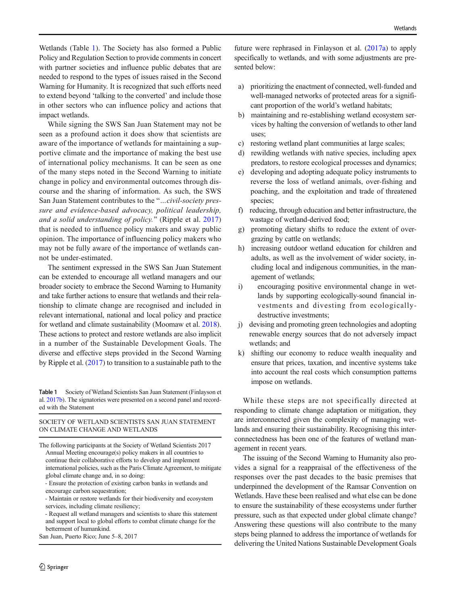Wetlands (Table 1). The Society has also formed a Public Policy and Regulation Section to provide comments in concert with partner societies and influence public debates that are needed to respond to the types of issues raised in the Second Warning for Humanity. It is recognized that such efforts need to extend beyond 'talking to the converted' and include those in other sectors who can influence policy and actions that impact wetlands.

While signing the SWS San Juan Statement may not be seen as a profound action it does show that scientists are aware of the importance of wetlands for maintaining a supportive climate and the importance of making the best use of international policy mechanisms. It can be seen as one of the many steps noted in the Second Warning to initiate change in policy and environmental outcomes through discourse and the sharing of information. As such, the SWS San Juan Statement contributes to the "...civil-society pressure and evidence-based advocacy, political leadership, and a solid understanding of policy." (Ripple et al.  $2017$ ) that is needed to influence policy makers and sway public opinion. The importance of influencing policy makers who may not be fully aware of the importance of wetlands cannot be under-estimated.

The sentiment expressed in the SWS San Juan Statement can be extended to encourage all wetland managers and our broader society to embrace the Second Warning to Humanity and take further actions to ensure that wetlands and their relationship to climate change are recognised and included in relevant international, national and local policy and practice for wetland and climate sustainability (Moomaw et al. [2018\)](#page-4-0). These actions to protect and restore wetlands are also implicit in a number of the Sustainable Development Goals. The diverse and effective steps provided in the Second Warning by Ripple et al. ([2017](#page-4-0)) to transition to a sustainable path to the

Table 1 Society of Wetland Scientists San Juan Statement (Finlayson et al. [2017b\)](#page-4-0). The signatories were presented on a second panel and recorded with the Statement

#### SOCIETY OF WETLAND SCIENTISTS SAN JUAN STATEMENT ON CLIMATE CHANGE AND WETLANDS

- The following participants at the Society of Wetland Scientists 2017 Annual Meeting encourage(s) policy makers in all countries to continue their collaborative efforts to develop and implement international policies, such as the Paris Climate Agreement, to mitigate global climate change and, in so doing:
	- Ensure the protection of existing carbon banks in wetlands and encourage carbon sequestration;
	- Maintain or restore wetlands for their biodiversity and ecosystem services, including climate resiliency;
	- Request all wetland managers and scientists to share this statement and support local to global efforts to combat climate change for the betterment of humankind.
- San Juan, Puerto Rico; June 5–8, 2017

future were rephrased in Finlayson et al. ([2017a\)](#page-4-0) to apply specifically to wetlands, and with some adjustments are presented below:

- a) prioritizing the enactment of connected, well-funded and well-managed networks of protected areas for a significant proportion of the world's wetland habitats;
- b) maintaining and re-establishing wetland ecosystem services by halting the conversion of wetlands to other land uses;
- c) restoring wetland plant communities at large scales;
- d) rewilding wetlands with native species, including apex predators, to restore ecological processes and dynamics;
- e) developing and adopting adequate policy instruments to reverse the loss of wetland animals, over-fishing and poaching, and the exploitation and trade of threatened species;
- f) reducing, through education and better infrastructure, the wastage of wetland-derived food;
- g) promoting dietary shifts to reduce the extent of overgrazing by cattle on wetlands;
- h) increasing outdoor wetland education for children and adults, as well as the involvement of wider society, including local and indigenous communities, in the management of wetlands;
- i) encouraging positive environmental change in wetlands by supporting ecologically-sound financial investments and divesting from ecologicallydestructive investments;
- j) devising and promoting green technologies and adopting renewable energy sources that do not adversely impact wetlands; and
- k) shifting our economy to reduce wealth inequality and ensure that prices, taxation, and incentive systems take into account the real costs which consumption patterns impose on wetlands.

While these steps are not specifically directed at responding to climate change adaptation or mitigation, they are interconnected given the complexity of managing wetlands and ensuring their sustainability. Recognising this interconnectedness has been one of the features of wetland management in recent years.

The issuing of the Second Warning to Humanity also provides a signal for a reappraisal of the effectiveness of the responses over the past decades to the basic premises that underpinned the development of the Ramsar Convention on Wetlands. Have these been realised and what else can be done to ensure the sustainability of these ecosystems under further pressure, such as that expected under global climate change? Answering these questions will also contribute to the many steps being planned to address the importance of wetlands for delivering the United Nations Sustainable Development Goals